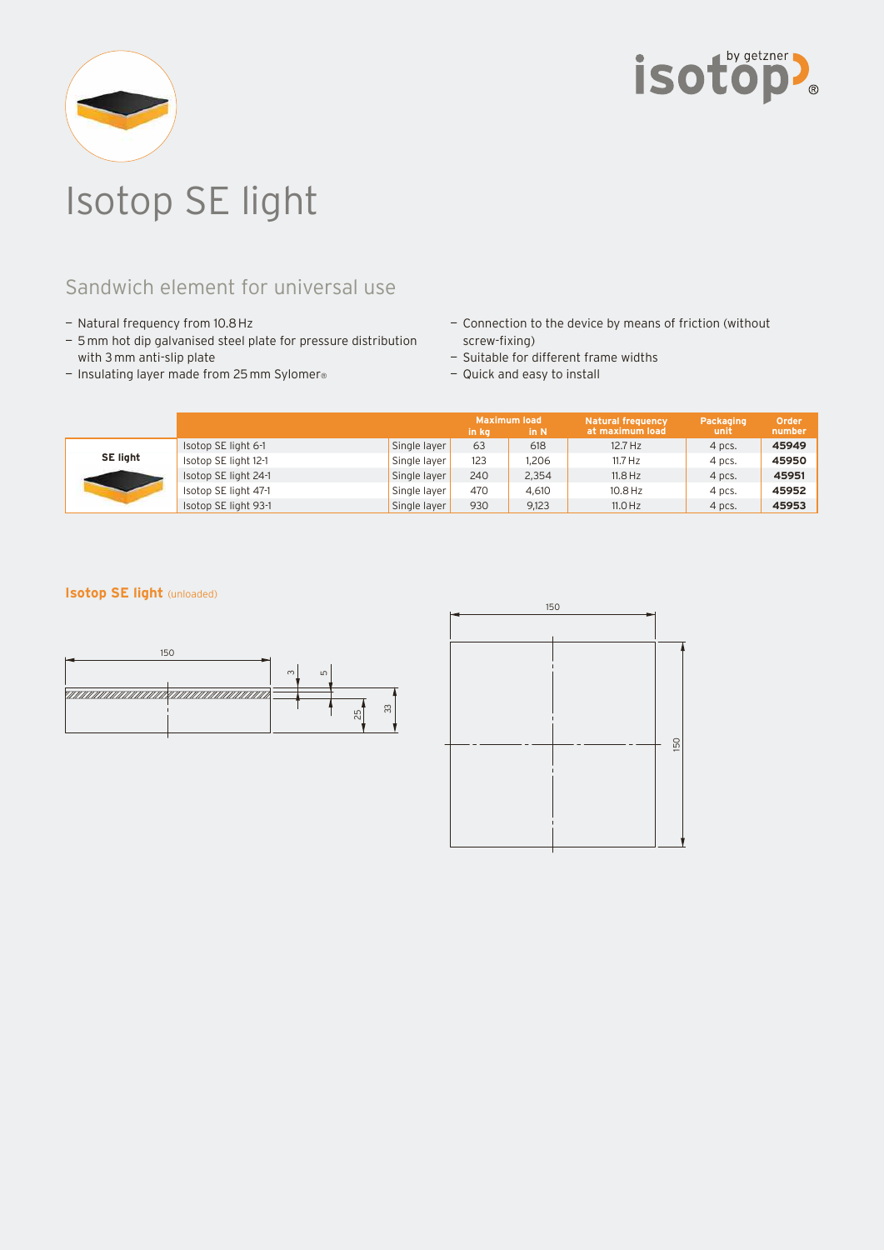



# Isotop SE light

## Sandwich element for universal use

- Natural frequency from 10.8 Hz
- 5 mm hot dip galvanised steel plate for pressure distribution with 3 mm anti-slip plate
- Insulating layer made from 25 mm Sylomer®
- Connection to the device by means of friction (without screw-fixing)
- Suitable for different frame widths
- Quick and easy to install

|                 |                      |              | in ka | Maximum load<br>in N | <b>Natural frequency</b><br>at maximum load | Packaging<br>unit | Order<br>number |
|-----------------|----------------------|--------------|-------|----------------------|---------------------------------------------|-------------------|-----------------|
| <b>SE light</b> | Isotop SE light 6-1  | Single layer | 63    | 618                  | $12.7$ Hz                                   | 4 pcs.            | 45949           |
|                 | Isotop SE light 12-1 | Single layer | 123   | 1.206                | $11.7$ Hz                                   | 4 pcs.            | 45950           |
|                 | Isotop SE light 24-1 | Single layer | 240   | 2.354                | $11.8$ Hz                                   | 4 pcs.            | 45951           |
|                 | Isotop SE light 47-1 | Single layer | 470   | 4.610                | $10.8$ Hz                                   | 4 pcs.            | 45952           |
|                 | Isotop SE light 93-1 | Single layer | 930   | 9,123                | $11.0$ Hz                                   | 4 pcs.            | 45953           |

### **Isotop SE light** (unloaded)